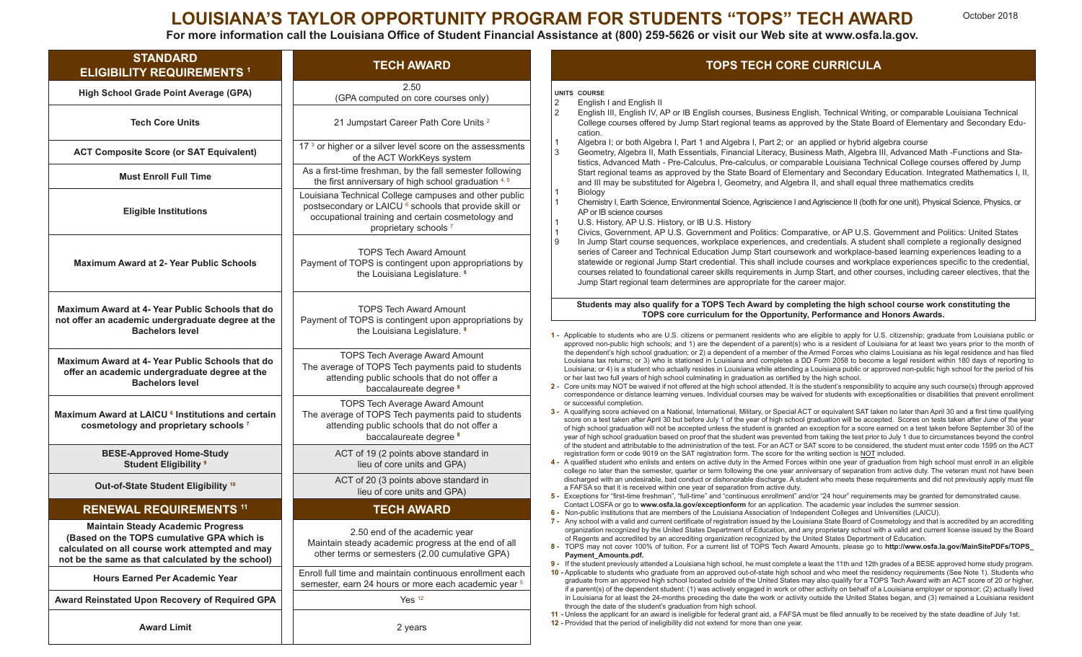# **LOUISIANA'S TAYLOR OPPORTUNITY PROGRAM FOR STUDENTS "TOPS" TECH AWARD**

For more information call the Louisiana Office of Student Financial Assistance at (800) 259-5626 or visit our Web site at www.osfa.la.gov.

| <b>STANDARD</b><br><b>ELIGIBILITY REQUIREMENTS 1</b>                                                                                                                                           | <b>TECH AWARD</b>                                                                                                                                                                                                   | <b>TOPS TECH CORE CURRICULA</b>                                                                                                                                                                                                                                                                                                                                                                                                                                                                                                                                                                                                                                                                                                                                                                                                                                                                                                                                                                                                                                                                                                                                                                                                                                                                                                                                                                                                                                                                                                                                                                                                                                                                                                                                                                                                                                                                                                                                                                                                                                                                                                                                                                             |
|------------------------------------------------------------------------------------------------------------------------------------------------------------------------------------------------|---------------------------------------------------------------------------------------------------------------------------------------------------------------------------------------------------------------------|-------------------------------------------------------------------------------------------------------------------------------------------------------------------------------------------------------------------------------------------------------------------------------------------------------------------------------------------------------------------------------------------------------------------------------------------------------------------------------------------------------------------------------------------------------------------------------------------------------------------------------------------------------------------------------------------------------------------------------------------------------------------------------------------------------------------------------------------------------------------------------------------------------------------------------------------------------------------------------------------------------------------------------------------------------------------------------------------------------------------------------------------------------------------------------------------------------------------------------------------------------------------------------------------------------------------------------------------------------------------------------------------------------------------------------------------------------------------------------------------------------------------------------------------------------------------------------------------------------------------------------------------------------------------------------------------------------------------------------------------------------------------------------------------------------------------------------------------------------------------------------------------------------------------------------------------------------------------------------------------------------------------------------------------------------------------------------------------------------------------------------------------------------------------------------------------------------------|
| High School Grade Point Average (GPA)                                                                                                                                                          | 2.50<br>(GPA computed on core courses only)                                                                                                                                                                         | UNITS COURSE<br>$\overline{2}$<br>English I and English II<br>$\overline{2}$<br>English III, English IV, AP or IB English courses, Business English, Technical Writing, or comparable Louisiana Technical<br>College courses offered by Jump Start regional teams as approved by the State Board of Elementary and Secondary Edu-<br>cation.<br>Algebra I; or both Algebra I, Part 1 and Algebra I, Part 2; or an applied or hybrid algebra course<br>3<br>Geometry, Algebra II, Math Essentials, Financial Literacy, Business Math, Algebra III, Advanced Math -Functions and Sta-<br>tistics, Advanced Math - Pre-Calculus, Pre-calculus, or comparable Louisiana Technical College courses offered by Jump<br>Start regional teams as approved by the State Board of Elementary and Secondary Education. Integrated Mathematics I, II,<br>and III may be substituted for Algebra I, Geometry, and Algebra II, and shall equal three mathematics credits<br>Biology<br>Chemistry I, Earth Science, Environmental Science, Agriscience I and Agriscience II (both for one unit), Physical Science, Physics, or<br>AP or IB science courses<br>U.S. History, AP U.S. History, or IB U.S. History<br>Civics, Government, AP U.S. Government and Politics: Comparative, or AP U.S. Government and Politics: United States<br>$\mathsf{Q}$<br>In Jump Start course sequences, workplace experiences, and credentials. A student shall complete a regionally designed<br>series of Career and Technical Education Jump Start coursework and workplace-based learning experiences leading to a<br>statewide or regional Jump Start credential. This shall include courses and workplace experiences specific to the credential,<br>courses related to foundational career skills requirements in Jump Start, and other courses, including career electives, that the<br>Jump Start regional team determines are appropriate for the career major.                                                                                                                                                                                                                                                                |
| <b>Tech Core Units</b>                                                                                                                                                                         | 21 Jumpstart Career Path Core Units <sup>2</sup>                                                                                                                                                                    |                                                                                                                                                                                                                                                                                                                                                                                                                                                                                                                                                                                                                                                                                                                                                                                                                                                                                                                                                                                                                                                                                                                                                                                                                                                                                                                                                                                                                                                                                                                                                                                                                                                                                                                                                                                                                                                                                                                                                                                                                                                                                                                                                                                                             |
| <b>ACT Composite Score (or SAT Equivalent)</b>                                                                                                                                                 | 17 <sup>3</sup> or higher or a silver level score on the assessments<br>of the ACT WorkKeys system                                                                                                                  |                                                                                                                                                                                                                                                                                                                                                                                                                                                                                                                                                                                                                                                                                                                                                                                                                                                                                                                                                                                                                                                                                                                                                                                                                                                                                                                                                                                                                                                                                                                                                                                                                                                                                                                                                                                                                                                                                                                                                                                                                                                                                                                                                                                                             |
| <b>Must Enroll Full Time</b>                                                                                                                                                                   | As a first-time freshman, by the fall semester following<br>the first anniversary of high school graduation 4, 5                                                                                                    |                                                                                                                                                                                                                                                                                                                                                                                                                                                                                                                                                                                                                                                                                                                                                                                                                                                                                                                                                                                                                                                                                                                                                                                                                                                                                                                                                                                                                                                                                                                                                                                                                                                                                                                                                                                                                                                                                                                                                                                                                                                                                                                                                                                                             |
| <b>Eligible Institutions</b>                                                                                                                                                                   | Louisiana Technical College campuses and other public<br>postsecondary or LAICU <sup>6</sup> schools that provide skill or<br>occupational training and certain cosmetology and<br>proprietary schools <sup>7</sup> |                                                                                                                                                                                                                                                                                                                                                                                                                                                                                                                                                                                                                                                                                                                                                                                                                                                                                                                                                                                                                                                                                                                                                                                                                                                                                                                                                                                                                                                                                                                                                                                                                                                                                                                                                                                                                                                                                                                                                                                                                                                                                                                                                                                                             |
| <b>Maximum Award at 2- Year Public Schools</b>                                                                                                                                                 | <b>TOPS Tech Award Amount</b><br>Payment of TOPS is contingent upon appropriations by<br>the Louisiana Legislature. 8                                                                                               |                                                                                                                                                                                                                                                                                                                                                                                                                                                                                                                                                                                                                                                                                                                                                                                                                                                                                                                                                                                                                                                                                                                                                                                                                                                                                                                                                                                                                                                                                                                                                                                                                                                                                                                                                                                                                                                                                                                                                                                                                                                                                                                                                                                                             |
| Maximum Award at 4- Year Public Schools that do<br>not offer an academic undergraduate degree at the                                                                                           | <b>TOPS Tech Award Amount</b><br>Payment of TOPS is contingent upon appropriations by                                                                                                                               | Students may also qualify for a TOPS Tech Award by completing the high school course work constituting the<br>TOPS core curriculum for the Opportunity, Performance and Honors Awards.                                                                                                                                                                                                                                                                                                                                                                                                                                                                                                                                                                                                                                                                                                                                                                                                                                                                                                                                                                                                                                                                                                                                                                                                                                                                                                                                                                                                                                                                                                                                                                                                                                                                                                                                                                                                                                                                                                                                                                                                                      |
| <b>Bachelors level</b>                                                                                                                                                                         | the Louisiana Legislature. <sup>8</sup>                                                                                                                                                                             | 1 - Applicable to students who are U.S. citizens or permanent residents who are eligible to apply for U.S. citizenship; graduate from Louisiana public o<br>approved non-public high schools; and 1) are the dependent of a parent(s) who is a resident of Louisiana for at least two years prior to the month of                                                                                                                                                                                                                                                                                                                                                                                                                                                                                                                                                                                                                                                                                                                                                                                                                                                                                                                                                                                                                                                                                                                                                                                                                                                                                                                                                                                                                                                                                                                                                                                                                                                                                                                                                                                                                                                                                           |
| Maximum Award at 4- Year Public Schools that do<br>offer an academic undergraduate degree at the<br><b>Bachelors level</b>                                                                     | <b>TOPS Tech Average Award Amount</b><br>The average of TOPS Tech payments paid to students<br>attending public schools that do not offer a<br>baccalaureate degree <sup>8</sup>                                    | the dependent's high school graduation; or 2) a dependent of a member of the Armed Forces who claims Louisiana as his legal residence and has filed<br>Louisiana tax returns; or 3) who is stationed in Louisiana and completes a DD Form 2058 to become a legal resident within 180 days of reporting to<br>Louisiana; or 4) is a student who actually resides in Louisiana while attending a Louisiana public or approved non-public high school for the period of his<br>or her last two full years of high school culminating in graduation as certified by the high school.<br>2 - Core units may NOT be waived if not offered at the high school attended. It is the student's responsibility to acquire any such course(s) through approved<br>correspondence or distance learning venues. Individual courses may be waived for students with exceptionalities or disabilities that prevent enrollmen<br>or successful completion.<br>3 - A qualifying score achieved on a National, International, Military, or Special ACT or equivalent SAT taken no later than April 30 and a first time qualifying<br>score on a test taken after April 30 but before July 1 of the year of high school graduation will be accepted. Scores on tests taken after June of the yea<br>of high school graduation will not be accepted unless the student is granted an exception for a score earned on a test taken before September 30 of the<br>year of high school graduation based on proof that the student was prevented from taking the test prior to July 1 due to circumstances beyond the control<br>of the student and attributable to the administration of the test. For an ACT or SAT score to be considered, the student must enter code 1595 on the ACT<br>registration form or code 9019 on the SAT registration form. The score for the writing section is NOT included.<br>4 - A qualified student who enlists and enters on active duty in the Armed Forces within one year of graduation from high school must enroll in an eligible<br>college no later than the semester, quarter or term following the one year anniversary of separation from active duty. The veteran must not have been |
| Maximum Award at LAICU <sup>6</sup> Institutions and certain<br>cosmetology and proprietary schools 7                                                                                          | <b>TOPS Tech Average Award Amount</b><br>The average of TOPS Tech payments paid to students<br>attending public schools that do not offer a<br>baccalaureate degree <sup>8</sup>                                    |                                                                                                                                                                                                                                                                                                                                                                                                                                                                                                                                                                                                                                                                                                                                                                                                                                                                                                                                                                                                                                                                                                                                                                                                                                                                                                                                                                                                                                                                                                                                                                                                                                                                                                                                                                                                                                                                                                                                                                                                                                                                                                                                                                                                             |
| <b>BESE-Approved Home-Study</b><br><b>Student Eligibility 9</b>                                                                                                                                | ACT of 19 (2 points above standard in<br>lieu of core units and GPA)                                                                                                                                                |                                                                                                                                                                                                                                                                                                                                                                                                                                                                                                                                                                                                                                                                                                                                                                                                                                                                                                                                                                                                                                                                                                                                                                                                                                                                                                                                                                                                                                                                                                                                                                                                                                                                                                                                                                                                                                                                                                                                                                                                                                                                                                                                                                                                             |
| Out-of-State Student Eligibility <sup>10</sup>                                                                                                                                                 | ACT of 20 (3 points above standard in<br>lieu of core units and GPA)                                                                                                                                                | discharged with an undesirable, bad conduct or dishonorable discharge. A student who meets these requirements and did not previously apply must file<br>a FAFSA so that it is received within one year of separation from active duty.<br>5 - Exceptions for "first-time freshman", "full-time" and "continuous enrollment" and/or "24 hour" requirements may be granted for demonstrated cause.                                                                                                                                                                                                                                                                                                                                                                                                                                                                                                                                                                                                                                                                                                                                                                                                                                                                                                                                                                                                                                                                                                                                                                                                                                                                                                                                                                                                                                                                                                                                                                                                                                                                                                                                                                                                            |
| <b>RENEWAL REQUIREMENTS 11</b>                                                                                                                                                                 | <b>TECH AWARD</b>                                                                                                                                                                                                   | Contact LOSFA or go to www.osfa.la.gov/exceptionform for an application. The academic year includes the summer session.<br>6 - Non-public institutions that are members of the Louisiana Association of Independent Colleges and Universities (LAICU).                                                                                                                                                                                                                                                                                                                                                                                                                                                                                                                                                                                                                                                                                                                                                                                                                                                                                                                                                                                                                                                                                                                                                                                                                                                                                                                                                                                                                                                                                                                                                                                                                                                                                                                                                                                                                                                                                                                                                      |
| <b>Maintain Steady Academic Progress</b><br>(Based on the TOPS cumulative GPA which is<br>calculated on all course work attempted and may<br>not be the same as that calculated by the school) | 2.50 end of the academic year<br>Maintain steady academic progress at the end of all<br>other terms or semesters (2.00 cumulative GPA)                                                                              | 7 - Any school with a valid and current certificate of registration issued by the Louisiana State Board of Cosmetology and that is accredited by an accrediting<br>organization recognized by the United States Department of Education, and any proprietary school with a valid and current license issued by the Board<br>of Regents and accredited by an accrediting organization recognized by the United States Department of Education.<br>8 - TOPS may not cover 100% of tuition. For a current list of TOPS Tech Award Amounts, please go to http://www.osfa.la.gov/MainSitePDFs/TOPS<br>Payment_Amounts.pdf.<br>9 - If the student previously attended a Louisiana high school, he must complete a least the 11th and 12th grades of a BESE approved home study program                                                                                                                                                                                                                                                                                                                                                                                                                                                                                                                                                                                                                                                                                                                                                                                                                                                                                                                                                                                                                                                                                                                                                                                                                                                                                                                                                                                                                            |
| <b>Hours Earned Per Academic Year</b>                                                                                                                                                          | Enroll full time and maintain continuous enrollment each<br>semester, earn 24 hours or more each academic year <sup>5</sup>                                                                                         | 10 - Applicable to students who graduate from an approved out-of-state high school and who meet the residency requirements (See Note 1). Students who<br>graduate from an approved high school located outside of the United States may also qualify for a TOPS Tech Award with an ACT score of 20 or higher<br>if a parent(s) of the dependent student: (1) was actively engaged in work or other activity on behalf of a Louisiana employer or sponsor; (2) actually lived                                                                                                                                                                                                                                                                                                                                                                                                                                                                                                                                                                                                                                                                                                                                                                                                                                                                                                                                                                                                                                                                                                                                                                                                                                                                                                                                                                                                                                                                                                                                                                                                                                                                                                                                |
| Award Reinstated Upon Recovery of Required GPA                                                                                                                                                 | Yes <sup>12</sup>                                                                                                                                                                                                   | in Louisiana for at least the 24-months preceding the date the work or activity outside the United States began, and (3) remained a Louisiana resident<br>through the date of the student's graduation from high school.<br>11 - Unless the applicant for an award is ineligible for federal grant aid, a FAFSA must be filed annually to be received by the state deadline of July 1st.<br>12 - Provided that the period of ineligibility did not extend for more than one year.                                                                                                                                                                                                                                                                                                                                                                                                                                                                                                                                                                                                                                                                                                                                                                                                                                                                                                                                                                                                                                                                                                                                                                                                                                                                                                                                                                                                                                                                                                                                                                                                                                                                                                                           |
| <b>Award Limit</b>                                                                                                                                                                             | 2 years                                                                                                                                                                                                             |                                                                                                                                                                                                                                                                                                                                                                                                                                                                                                                                                                                                                                                                                                                                                                                                                                                                                                                                                                                                                                                                                                                                                                                                                                                                                                                                                                                                                                                                                                                                                                                                                                                                                                                                                                                                                                                                                                                                                                                                                                                                                                                                                                                                             |